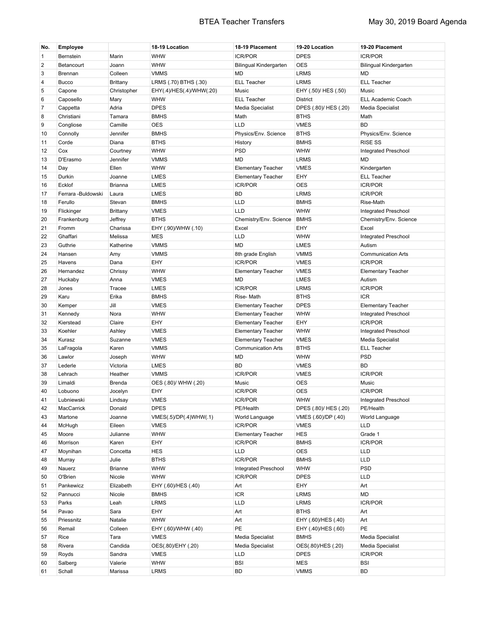| No.          | <b>Employee</b>    |                 | 18-19 Location           | 18-19 Placement               | 19-20 Location        | 19-20 Placement             |
|--------------|--------------------|-----------------|--------------------------|-------------------------------|-----------------------|-----------------------------|
| $\mathbf{1}$ | Bernstein          | Marin           | <b>WHW</b>               | <b>ICR/POR</b>                | <b>DPES</b>           | <b>ICR/POR</b>              |
| 2            | Betancourt         | Joann           | WHW                      | <b>Bilingual Kindergarten</b> | <b>OES</b>            | Bilingual Kindergarten      |
| 3            | Brennan            | Colleen         | <b>VMMS</b>              | <b>MD</b>                     | <b>LRMS</b>           | <b>MD</b>                   |
| 4            | <b>Bucco</b>       | <b>Brittany</b> | LRMS (.70) BTHS (.30)    | <b>ELL Teacher</b>            | <b>LRMS</b>           | <b>ELL Teacher</b>          |
| 5            | Capone             | Christopher     | EHY(.4)/HES(.4)/WHW(.20) | Music                         | EHY (.50)/ HES (.50)  | Music                       |
| 6            | Caposello          | Mary            | WHW                      | <b>ELL Teacher</b>            | District              | ELL Academic Coach          |
| 7            | Cappetta           | Adria           | <b>DPES</b>              | Media Specialist              | DPES (.80)/ HES (.20) | Media Specialist            |
| 8            | Christiani         | Tamara          | <b>BMHS</b>              | Math                          | <b>BTHS</b>           | Math                        |
| 9            | Congliose          | Camille         | <b>OES</b>               | <b>LLD</b>                    | <b>VMES</b>           | <b>BD</b>                   |
| 10           | Connolly           | Jennifer        | <b>BMHS</b>              | Physics/Env. Science          | <b>BTHS</b>           | Physics/Env. Science        |
| 11           | Corde              | Diana           | <b>BTHS</b>              | History                       | <b>BMHS</b>           | <b>RISE SS</b>              |
| 12           | Cox                | Courtney        | WHW                      | PSD                           | <b>WHW</b>            | <b>Integrated Preschool</b> |
| 13           | D'Erasmo           | Jennifer        | <b>VMMS</b>              | <b>MD</b>                     | <b>LRMS</b>           | <b>MD</b>                   |
| 14           | Day                | Ellen           | WHW                      | <b>Elementary Teacher</b>     | <b>VMES</b>           | Kindergarten                |
| 15           | Durkin             | Joanne          | <b>LMES</b>              | <b>Elementary Teacher</b>     | EHY                   | <b>ELL Teacher</b>          |
| 16           | Ecklof             | <b>Brianna</b>  | <b>LMES</b>              | <b>ICR/POR</b>                | OES                   | <b>ICR/POR</b>              |
| 17           | Ferrara -Buldowski | Laura           | <b>LMES</b>              | <b>BD</b>                     | <b>LRMS</b>           | <b>ICR/POR</b>              |
| 18           | Ferullo            | Stevan          | <b>BMHS</b>              | LLD                           | <b>BMHS</b>           | Rise-Math                   |
| 19           | Flickinger         | <b>Brittany</b> | <b>VMES</b>              | <b>LLD</b>                    | WHW                   | Integrated Preschool        |
| 20           | Frankenburg        | Jeffrey         | <b>BTHS</b>              | Chemistry/Env. Science        | <b>BMHS</b>           | Chemistry/Env. Science      |
| 21           | Fromm              | Charissa        | EHY (.90)/WHW (.10)      | Excel                         | EHY                   | Excel                       |
| 22           | Ghaffari           | Melissa         | <b>MES</b>               | <b>LLD</b>                    | WHW                   | Integrated Preschool        |
| 23           | Guthrie            | Katherine       | <b>VMMS</b>              | <b>MD</b>                     | <b>LMES</b>           | Autism                      |
| 24           | Hansen             | Amy             | <b>VMMS</b>              | 8th grade English             | <b>VMMS</b>           | <b>Communication Arts</b>   |
| 25           | Havens             | Dana            | EHY                      | <b>ICR/POR</b>                | <b>VMES</b>           | <b>ICR/POR</b>              |
| 26           | Hernandez          | Chrissy         | <b>WHW</b>               | <b>Elementary Teacher</b>     | <b>VMES</b>           | <b>Elementary Teacher</b>   |
| 27           | Huckaby            | Anna            | <b>VMES</b>              | MD                            | <b>LMES</b>           | Autism                      |
| 28           | Jones              | Tracee          | <b>LMES</b>              | <b>ICR/POR</b>                | <b>LRMS</b>           | <b>ICR/POR</b>              |
| 29           | Karu               | Erika           | <b>BMHS</b>              | Rise-Math                     | <b>BTHS</b>           | <b>ICR</b>                  |
| 30           | Kemper             | Jill            | <b>VMES</b>              | <b>Elementary Teacher</b>     | <b>DPES</b>           | <b>Elementary Teacher</b>   |
| 31           | Kennedy            | Nora            | <b>WHW</b>               | <b>Elementary Teacher</b>     | <b>WHW</b>            | Integrated Preschool        |
| 32           | Kierstead          | Claire          | EHY                      | <b>Elementary Teacher</b>     | EHY                   | <b>ICR/POR</b>              |
| 33           | Koehler            | Ashley          | <b>VMES</b>              | <b>Elementary Teacher</b>     | <b>WHW</b>            | Integrated Preschool        |
| 34           | Kurasz             | Suzanne         | <b>VMES</b>              | <b>Elementary Teacher</b>     | <b>VMES</b>           | Media Specialist            |
| 35           | LaFragola          | Karen           | <b>VMMS</b>              | <b>Communication Arts</b>     | <b>BTHS</b>           | <b>ELL Teacher</b>          |
| 36           | Lawlor             | Joseph          | WHW                      | <b>MD</b>                     | <b>WHW</b>            | <b>PSD</b>                  |
| 37           | Lederle            | Victoria        | <b>LMES</b>              | <b>BD</b>                     | <b>VMES</b>           | <b>BD</b>                   |
| 38           | Lehrach            | Heather         | <b>VMMS</b>              | <b>ICR/POR</b>                | <b>VMES</b>           | <b>ICR/POR</b>              |
| 39           | Limaldi            | <b>Brenda</b>   | OES (.80)/ WHW (.20)     | Music                         | OES                   | Music                       |
| 40           | Lobuono            | Jocelyn         | EHY                      | <b>ICR/POR</b>                | OES                   | <b>ICR/POR</b>              |
| 41           | Lubniewski         | Lindsay         | VMES                     | ICR/POR                       | WHW                   | Integrated Preschool        |
| 42           | MacCarrick         | Donald          | <b>DPES</b>              | PE/Health                     | DPES (.80)/ HES (.20) | PE/Health                   |
| 43           | Martone            | Joanne          | VMES(.5)/DP(.4)WHW(.1)   | World Language                | VMES (.60)/DP (.40)   | World Language              |
| 44           | McHugh             | Eileen          | <b>VMES</b>              | <b>ICR/POR</b>                | <b>VMES</b>           | LLD                         |
| 45           | Moore              | Julianne        | WHW                      | <b>Elementary Teacher</b>     | <b>HES</b>            | Grade 1                     |
| 46           | Morrison           | Karen           | EHY                      | <b>ICR/POR</b>                | <b>BMHS</b>           | <b>ICR/POR</b>              |
| 47           | Moynihan           | Concetta        | <b>HES</b>               | LLD                           | OES                   | LLD                         |
| 48           | Murray             | Julie           | <b>BTHS</b>              | <b>ICR/POR</b>                | <b>BMHS</b>           | <b>LLD</b>                  |
| 49           | Nauerz             | <b>Brianne</b>  | WHW                      | Integrated Preschool          | WHW                   | <b>PSD</b>                  |
| 50           | O'Brien            | Nicole          | WHW                      | <b>ICR/POR</b>                | <b>DPES</b>           | LLD                         |
| 51           | Pankewicz          | Elizabeth       | EHY (.60)/HES (.40)      | Art                           | EHY                   | Art                         |
| 52           | Pannucci           | Nicole          | <b>BMHS</b>              | <b>ICR</b>                    | <b>LRMS</b>           | MD                          |
| 53           | Parks              | Leah            | <b>LRMS</b>              | LLD                           | <b>LRMS</b>           | <b>ICR/POR</b>              |
| 54           | Pavao              | Sara            | EHY                      | Art                           | <b>BTHS</b>           | Art                         |
| 55           | Priessnitz         | Natalie         | <b>WHW</b>               | Art                           | EHY (.60)/HES (.40)   | Art                         |
| 56           | Remail             | Colleen         | EHY (.60)/WHW (.40)      | PE                            | EHY (.40)/HES (.60)   | PE                          |
| 57           | Rice               | Tara            | <b>VMES</b>              | Media Specialist              | <b>BMHS</b>           | Media Specialist            |
| 58           | Rivera             | Candida         | OES(.80)/EHY (.20)       | Media Specialist              | OES(.80)/HES (.20)    | Media Specialist            |
| 59           | Royds              | Sandra          | <b>VMES</b>              | LLD                           | <b>DPES</b>           | <b>ICR/POR</b>              |
| 60           | Salberg            | Valerie         | WHW                      | <b>BSI</b>                    | <b>MES</b>            | <b>BSI</b>                  |
| 61           | Schall             | Marissa         | <b>LRMS</b>              | BD                            | <b>VMMS</b>           | <b>BD</b>                   |